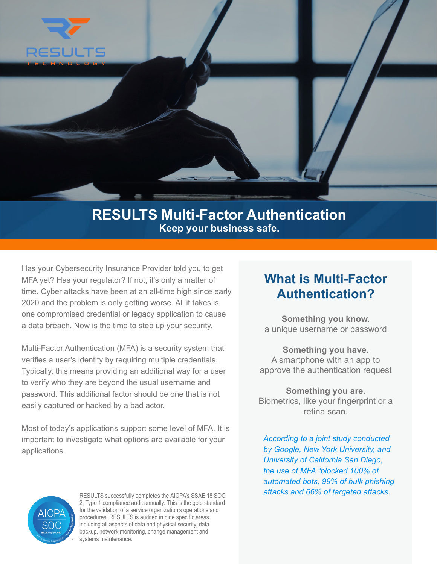

## **RESULTS Multi-Factor Authentication Keep your business safe.**

Has your Cybersecurity Insurance Provider told you to get MFA yet? Has your regulator? If not, it's only a matter of time. Cyber attacks have been at an all-time high since early 2020 and the problem is only getting worse. All it takes is one compromised credential or legacy application to cause a data breach. Now is the time to step up your security.

Multi-Factor Authentication (MFA) is a security system that verifies a user's identity by requiring multiple credentials. Typically, this means providing an additional way for a user to verify who they are beyond the usual username and password. This additional factor should be one that is not easily captured or hacked by a bad actor.

Most of today's applications support some level of MFA. It is important to investigate what options are available for your applications.

## **What is Multi-Factor Authentication?**

**Something you know.** a unique username or password

**Something you have.** A smartphone with an app to approve the authentication request

**Something you are.** Biometrics, like your fingerprint or a retina scan.

*According to a joint study conducted by Google, New York University, and University of California San Diego, the use of MFA "blocked 100% of automated bots, 99% of bulk phishing attacks and 66% of targeted attacks.*



RESULTS successfully completes the AICPA's SSAE 18 SOC 2, Type 1 compliance audit annually. This is the gold standard for the validation of a service organization's operations and procedures. RESULTS is audited in nine specific areas including all aspects of data and physical security, data backup, network monitoring, change management and systems maintenance.